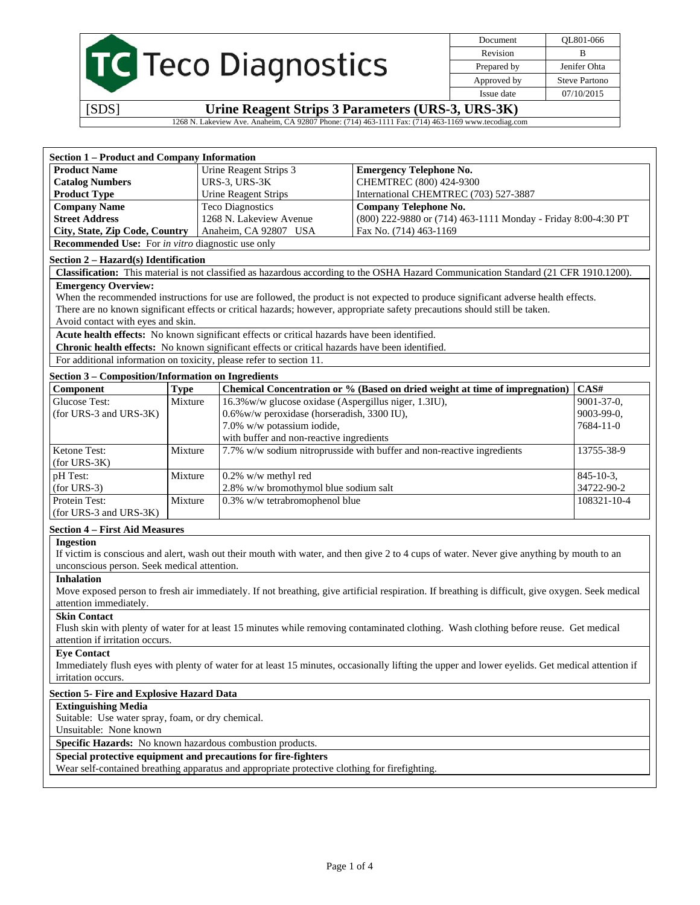|  | <b>TC</b> Teco Diagnostics |
|--|----------------------------|

Document QL801-066 Revision B Prepared by **Jenifer Ohta** Approved by Steve Partono Issue date 07/10/2015

[SDS] **Urine Reagent Strips 3 Parameters (URS-3, URS-3K)** 

1268 N. Lakeview Ave. Anaheim, CA 92807 Phone: (714) 463-1111 Fax: (714) 463-1169 www.tecodiag.com

| <b>Section 1 – Product and Company Information</b>              |                         |                                                               |
|-----------------------------------------------------------------|-------------------------|---------------------------------------------------------------|
| <b>Product Name</b>                                             | Urine Reagent Strips 3  | <b>Emergency Telephone No.</b>                                |
| <b>Catalog Numbers</b>                                          | URS-3, URS-3K           | CHEMTREC (800) 424-9300                                       |
| <b>Product Type</b>                                             | Urine Reagent Strips    | International CHEMTREC (703) 527-3887                         |
| <b>Company Name</b>                                             | <b>Teco Diagnostics</b> | Company Telephone No.                                         |
| <b>Street Address</b>                                           | 1268 N. Lakeview Avenue | (800) 222-9880 or (714) 463-1111 Monday - Friday 8:00-4:30 PT |
| City, State, Zip Code, Country                                  | Anaheim, CA 92807 USA   | Fax No. (714) 463-1169                                        |
| <b>Recommended Use:</b> For <i>in vitro</i> diagnostic use only |                         |                                                               |

#### **Section 2 – Hazard(s) Identification**

**Classification:** This material is not classified as hazardous according to the OSHA Hazard Communication Standard (21 CFR 1910.1200).

#### **Emergency Overview:**

When the recommended instructions for use are followed, the product is not expected to produce significant adverse health effects. There are no known significant effects or critical hazards; however, appropriate safety precautions should still be taken. Avoid contact with eyes and skin.

**Acute health effects:** No known significant effects or critical hazards have been identified.

**Chronic health effects:** No known significant effects or critical hazards have been identified.

For additional information on toxicity, please refer to section 11.

#### **Section 3 – Composition/Information on Ingredients**

| Component              | Type    | Chemical Concentration or % (Based on dried weight at time of impregnation) | CAS#              |
|------------------------|---------|-----------------------------------------------------------------------------|-------------------|
| Glucose Test:          | Mixture | 16.3% w/w glucose oxidase (Aspergillus niger, 1.3IU),                       | $9001 - 37 - 0$ , |
| (for URS-3 and URS-3K) |         | 0.6% w/w peroxidase (horseradish, 3300 IU),                                 | $9003-99-0$ ,     |
|                        |         | 7.0% w/w potassium iodide,                                                  | 7684-11-0         |
|                        |         | with buffer and non-reactive ingredients                                    |                   |
| Ketone Test:           | Mixture | 7.7% w/w sodium nitroprusside with buffer and non-reactive ingredients      | 13755-38-9        |
| $(for URS-3K)$         |         |                                                                             |                   |
| pH Test:               | Mixture | $0.2\%$ w/w methyl red                                                      | $845 - 10 - 3$ ,  |
| $\int$ (for URS-3)     |         | 2.8% w/w bromothymol blue sodium salt                                       | 34722-90-2        |
| Protein Test:          | Mixture | $0.3\%$ w/w tetrabromophenol blue                                           | 108321-10-4       |
| (for URS-3 and URS-3K) |         |                                                                             |                   |

#### **Section 4 – First Aid Measures**

#### **Ingestion**

If victim is conscious and alert, wash out their mouth with water, and then give 2 to 4 cups of water. Never give anything by mouth to an unconscious person. Seek medical attention.

#### **Inhalation**

Move exposed person to fresh air immediately. If not breathing, give artificial respiration. If breathing is difficult, give oxygen. Seek medical attention immediately.

## **Skin Contact**

Flush skin with plenty of water for at least 15 minutes while removing contaminated clothing. Wash clothing before reuse. Get medical attention if irritation occurs.

#### **Eye Contact**

Immediately flush eyes with plenty of water for at least 15 minutes, occasionally lifting the upper and lower eyelids. Get medical attention if irritation occurs.

#### **Section 5- Fire and Explosive Hazard Data**

#### **Extinguishing Media**

Suitable: Use water spray, foam, or dry chemical.

Unsuitable: None known

**Specific Hazards:** No known hazardous combustion products.

## **Special protective equipment and precautions for fire-fighters**

Wear self-contained breathing apparatus and appropriate protective clothing for firefighting.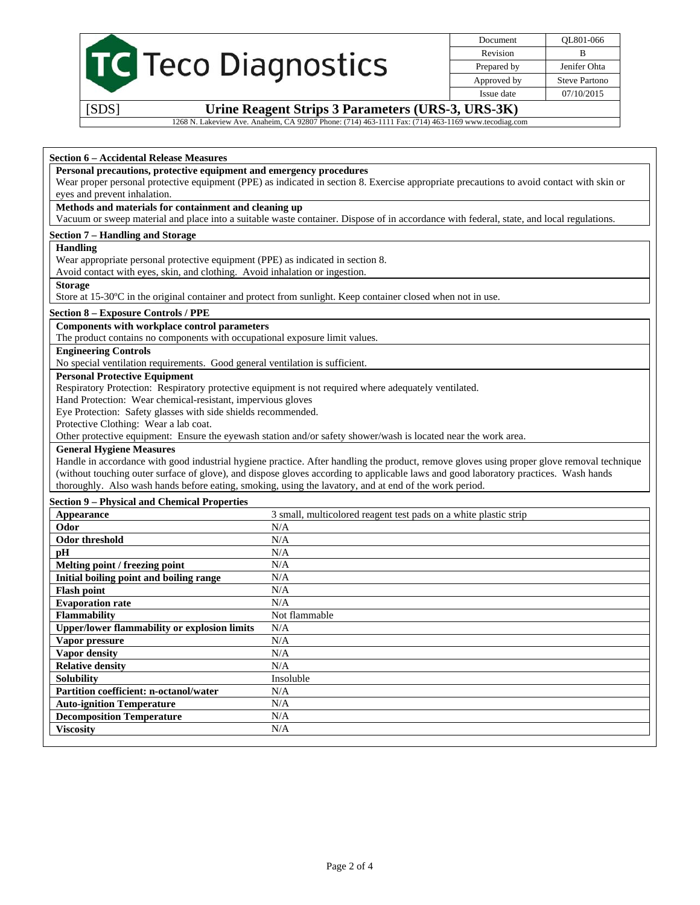

Document QL801-066 Revision B Prepared by Jenifer Ohta Approved by Steve Partono Issue date 07/10/2015

[SDS] **Urine Reagent Strips 3 Parameters (URS-3, URS-3K)** 

1268 N. Lakeview Ave. Anaheim, CA 92807 Phone: (714) 463-1111 Fax: (714) 463-1169 www.tecodiag.com

#### **Section 6 – Accidental Release Measures**

#### **Personal precautions, protective equipment and emergency procedures**

Wear proper personal protective equipment (PPE) as indicated in section 8. Exercise appropriate precautions to avoid contact with skin or eyes and prevent inhalation.

## **Methods and materials for containment and cleaning up**

Vacuum or sweep material and place into a suitable waste container. Dispose of in accordance with federal, state, and local regulations.

## **Section 7 – Handling and Storage**

#### **Handling**

Wear appropriate personal protective equipment (PPE) as indicated in section 8.

Avoid contact with eyes, skin, and clothing. Avoid inhalation or ingestion.

#### **Storage**

Store at 15-30ºC in the original container and protect from sunlight. Keep container closed when not in use.

## **Section 8 – Exposure Controls / PPE**

## **Components with workplace control parameters**

The product contains no components with occupational exposure limit values.

## **Engineering Controls**

No special ventilation requirements. Good general ventilation is sufficient.

## **Personal Protective Equipment**

Respiratory Protection: Respiratory protective equipment is not required where adequately ventilated.

Hand Protection: Wear chemical-resistant, impervious gloves

Eye Protection: Safety glasses with side shields recommended.

Protective Clothing: Wear a lab coat.

Other protective equipment: Ensure the eyewash station and/or safety shower/wash is located near the work area.

## **General Hygiene Measures**

Handle in accordance with good industrial hygiene practice. After handling the product, remove gloves using proper glove removal technique (without touching outer surface of glove), and dispose gloves according to applicable laws and good laboratory practices. Wash hands thoroughly. Also wash hands before eating, smoking, using the lavatory, and at end of the work period.

#### **Section 9 – Physical and Chemical Properties**

| Appearance                                          | 3 small, multicolored reagent test pads on a white plastic strip |
|-----------------------------------------------------|------------------------------------------------------------------|
| Odor                                                | N/A                                                              |
| Odor threshold                                      | N/A                                                              |
| pН                                                  | N/A                                                              |
| Melting point / freezing point                      | N/A                                                              |
| Initial boiling point and boiling range             | N/A                                                              |
| <b>Flash point</b>                                  | N/A                                                              |
| <b>Evaporation rate</b>                             | N/A                                                              |
| <b>Flammability</b>                                 | Not flammable                                                    |
| <b>Upper/lower flammability or explosion limits</b> | N/A                                                              |
| Vapor pressure                                      | N/A                                                              |
| Vapor density                                       | N/A                                                              |
| <b>Relative density</b>                             | N/A                                                              |
| <b>Solubility</b>                                   | Insoluble                                                        |
| <b>Partition coefficient: n-octanol/water</b>       | N/A                                                              |
| <b>Auto-ignition Temperature</b>                    | N/A                                                              |
| <b>Decomposition Temperature</b>                    | N/A                                                              |
| <b>Viscosity</b>                                    | N/A                                                              |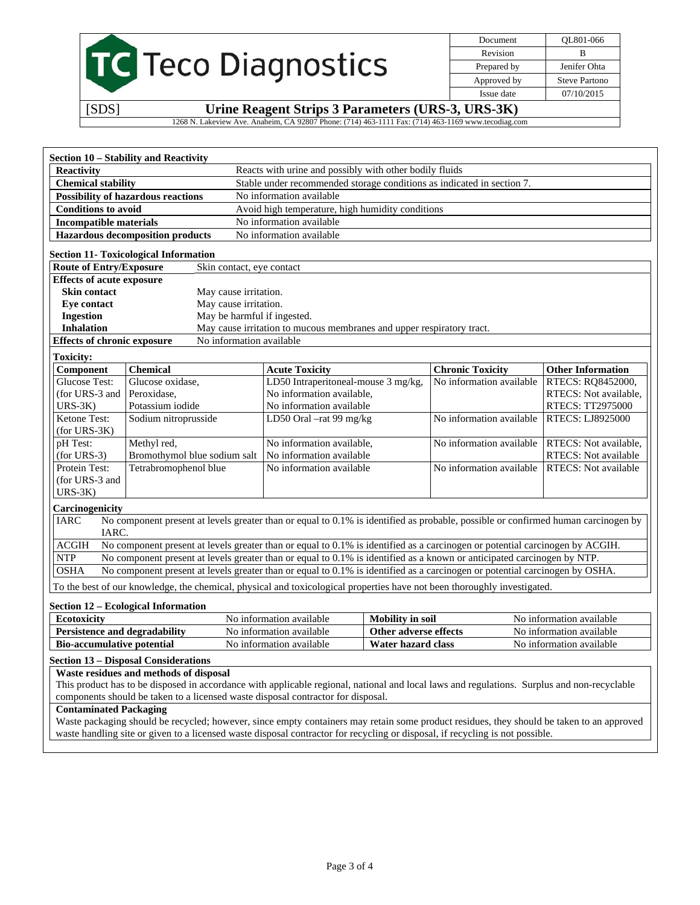|                                                                                                    | Document    | OL801-066            |
|----------------------------------------------------------------------------------------------------|-------------|----------------------|
|                                                                                                    | Revision    | B                    |
| <b>TC</b> Teco Diagnostics                                                                         | Prepared by | Jenifer Ohta         |
|                                                                                                    | Approved by | <b>Steve Partono</b> |
|                                                                                                    | Issue date  | 07/10/2015           |
| [SDS]<br>Urine Reagent Strips 3 Parameters (URS-3, URS-3K)                                         |             |                      |
| 1268 N. Lakeview Ave. Anaheim, CA 92807 Phone: (714) 463-1111 Fax: (714) 463-1169 www.tecodiag.com |             |                      |

| <b>Reactivity</b>                  |                                              | Reacts with urine and possibly with other bodily fluids                                                                           |                          |                             |
|------------------------------------|----------------------------------------------|-----------------------------------------------------------------------------------------------------------------------------------|--------------------------|-----------------------------|
| <b>Chemical stability</b>          |                                              | Stable under recommended storage conditions as indicated in section 7.                                                            |                          |                             |
|                                    | <b>Possibility of hazardous reactions</b>    | No information available                                                                                                          |                          |                             |
| <b>Conditions to avoid</b>         |                                              | Avoid high temperature, high humidity conditions                                                                                  |                          |                             |
| <b>Incompatible materials</b>      |                                              | No information available                                                                                                          |                          |                             |
|                                    | <b>Hazardous decomposition products</b>      | No information available                                                                                                          |                          |                             |
|                                    | <b>Section 11- Toxicological Information</b> |                                                                                                                                   |                          |                             |
| <b>Route of Entry/Exposure</b>     | Skin contact, eye contact                    |                                                                                                                                   |                          |                             |
| <b>Effects of acute exposure</b>   |                                              |                                                                                                                                   |                          |                             |
| <b>Skin contact</b>                | May cause irritation.                        |                                                                                                                                   |                          |                             |
| Eve contact                        | May cause irritation.                        |                                                                                                                                   |                          |                             |
| <b>Ingestion</b>                   | May be harmful if ingested.                  |                                                                                                                                   |                          |                             |
| <b>Inhalation</b>                  |                                              | May cause irritation to mucous membranes and upper respiratory tract.                                                             |                          |                             |
| <b>Effects of chronic exposure</b> | No information available                     |                                                                                                                                   |                          |                             |
| <b>Toxicity:</b>                   |                                              |                                                                                                                                   |                          |                             |
| Component                          | <b>Chemical</b>                              | <b>Acute Toxicity</b>                                                                                                             | <b>Chronic Toxicity</b>  | <b>Other Information</b>    |
|                                    |                                              |                                                                                                                                   |                          |                             |
| Glucose Test:                      | Glucose oxidase,                             | LD50 Intraperitoneal-mouse 3 mg/kg,                                                                                               | No information available | RTECS: RQ8452000,           |
| (for URS-3 and                     | Peroxidase,                                  | No information available,                                                                                                         |                          | RTECS: Not available,       |
| $URS-3K$                           | Potassium iodide                             | No information available                                                                                                          |                          | <b>RTECS: TT2975000</b>     |
| Ketone Test:                       | Sodium nitroprusside                         | LD50 Oral -rat 99 mg/kg                                                                                                           | No information available | <b>RTECS: LJ8925000</b>     |
| $(for URS-3K)$                     |                                              |                                                                                                                                   |                          |                             |
| pH Test:                           | Methyl red,                                  | No information available,                                                                                                         | No information available | RTECS: Not available,       |
| $(for URS-3)$                      | Bromothymol blue sodium salt                 | No information available                                                                                                          |                          | RTECS: Not available        |
| Protein Test:                      | Tetrabromophenol blue                        | No information available                                                                                                          | No information available | <b>RTECS:</b> Not available |
| (for URS-3 and                     |                                              |                                                                                                                                   |                          |                             |
| $URS-3K$                           |                                              |                                                                                                                                   |                          |                             |
| Carcinogenicity                    |                                              |                                                                                                                                   |                          |                             |
| <b>IARC</b>                        |                                              | No component present at levels greater than or equal to 0.1% is identified as probable, possible or confirmed human carcinogen by |                          |                             |
| <b>JARC.</b>                       |                                              |                                                                                                                                   |                          |                             |
| <b>ACGIH</b>                       |                                              | No component present at levels greater than or equal to 0.1% is identified as a carcinogen or potential carcinogen by ACGIH.      |                          |                             |
| <b>NTP</b>                         |                                              | No component present at levels greater than or equal to 0.1% is identified as a known or anticipated carcinogen by NTP.           |                          |                             |
| <b>OSHA</b>                        |                                              | No component present at levels greater than or equal to 0.1% is identified as a carcinogen or potential carcinogen by OSHA.       |                          |                             |

## **Section 12 – Ecological Information**

| Ecotoxicity                          | No information available | <b>Mobility in soil</b> | No information available |
|--------------------------------------|--------------------------|-------------------------|--------------------------|
| <b>Persistence and degradability</b> | No information available | Other adverse effects   | No information available |
| <b>Bio-accumulative potential</b>    | No information available | Water hazard class      | No information available |

## **Section 13 – Disposal Considerations**

## **Waste residues and methods of disposal**

This product has to be disposed in accordance with applicable regional, national and local laws and regulations. Surplus and non-recyclable components should be taken to a licensed waste disposal contractor for disposal.

## **Contaminated Packaging**

Waste packaging should be recycled; however, since empty containers may retain some product residues, they should be taken to an approved waste handling site or given to a licensed waste disposal contractor for recycling or disposal, if recycling is not possible.